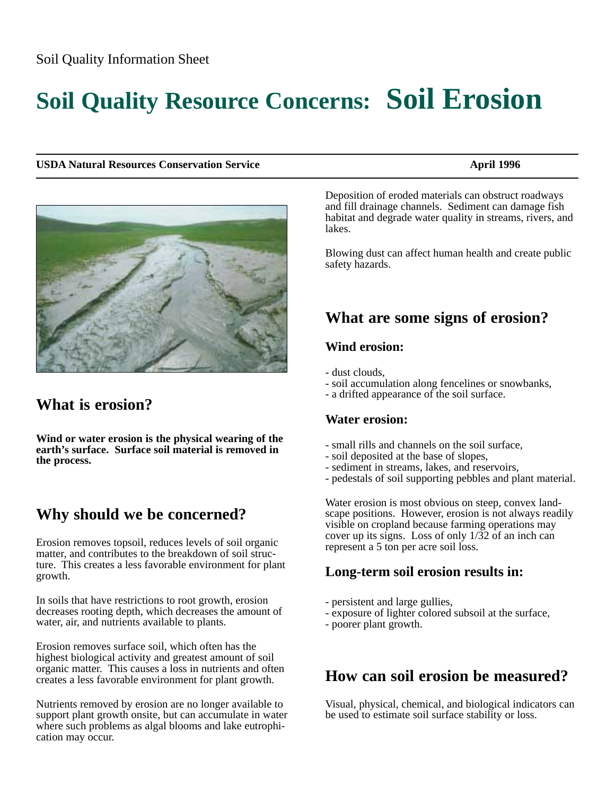# **Soil Quality Resource Concerns: Soil Erosion**

#### **USDA Natural Resources Conservation Service April 1996** April 1996



# **What is erosion?**

**Wind or water erosion is the physical wearing of the earth's surface. Surface soil material is removed in the process.**

# **Why should we be concerned?**

Erosion removes topsoil, reduces levels of soil organic matter, and contributes to the breakdown of soil structure. This creates a less favorable environment for plant growth.

In soils that have restrictions to root growth, erosion decreases rooting depth, which decreases the amount of water, air, and nutrients available to plants.

Erosion removes surface soil, which often has the highest biological activity and greatest amount of soil organic matter. This causes a loss in nutrients and often creates a less favorable environment for plant growth.

Nutrients removed by erosion are no longer available to support plant growth onsite, but can accumulate in water where such problems as algal blooms and lake eutrophication may occur.

Deposition of eroded materials can obstruct roadways and fill drainage channels. Sediment can damage fish habitat and degrade water quality in streams, rivers, and lakes.

Blowing dust can affect human health and create public safety hazards.

# **What are some signs of erosion?**

#### **Wind erosion:**

- dust clouds,
- soil accumulation along fencelines or snowbanks,
- a drifted appearance of the soil surface.

#### **Water erosion:**

- small rills and channels on the soil surface,
- soil deposited at the base of slopes,
- sediment in streams, lakes, and reservoirs,
- pedestals of soil supporting pebbles and plant material.

Water erosion is most obvious on steep, convex landscape positions. However, erosion is not always readily visible on cropland because farming operations may cover up its signs. Loss of only 1/32 of an inch can represent a 5 ton per acre soil loss.

### **Long-term soil erosion results in:**

- persistent and large gullies,
- exposure of lighter colored subsoil at the surface,
- poorer plant growth.

# **How can soil erosion be measured?**

Visual, physical, chemical, and biological indicators can be used to estimate soil surface stability or loss.